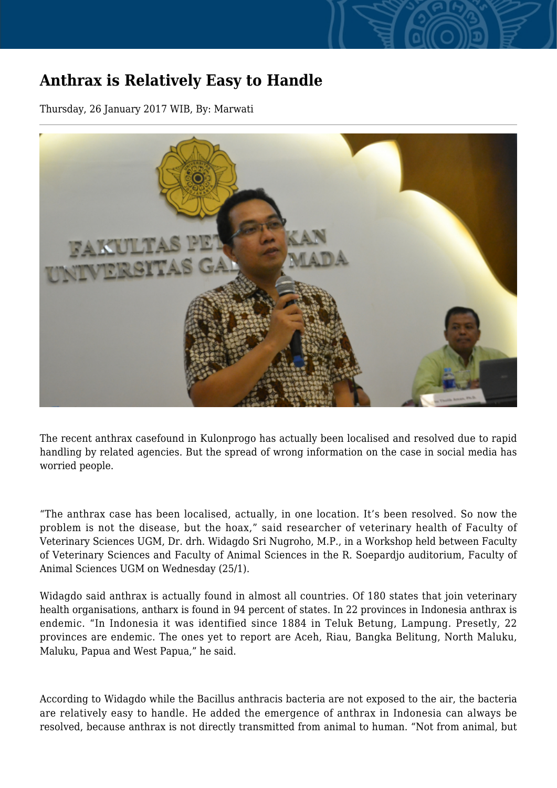## **Anthrax is Relatively Easy to Handle**

Thursday, 26 January 2017 WIB, By: Marwati



The recent anthrax casefound in Kulonprogo has actually been localised and resolved due to rapid handling by related agencies. But the spread of wrong information on the case in social media has worried people.

"The anthrax case has been localised, actually, in one location. It's been resolved. So now the problem is not the disease, but the hoax," said researcher of veterinary health of Faculty of Veterinary Sciences UGM, Dr. drh. Widagdo Sri Nugroho, M.P., in a Workshop held between Faculty of Veterinary Sciences and Faculty of Animal Sciences in the R. Soepardjo auditorium, Faculty of Animal Sciences UGM on Wednesday (25/1).

Widagdo said anthrax is actually found in almost all countries. Of 180 states that join veterinary health organisations, antharx is found in 94 percent of states. In 22 provinces in Indonesia anthrax is endemic. "In Indonesia it was identified since 1884 in Teluk Betung, Lampung. Presetly, 22 provinces are endemic. The ones yet to report are Aceh, Riau, Bangka Belitung, North Maluku, Maluku, Papua and West Papua," he said.

According to Widagdo while the Bacillus anthracis bacteria are not exposed to the air, the bacteria are relatively easy to handle. He added the emergence of anthrax in Indonesia can always be resolved, because anthrax is not directly transmitted from animal to human. "Not from animal, but